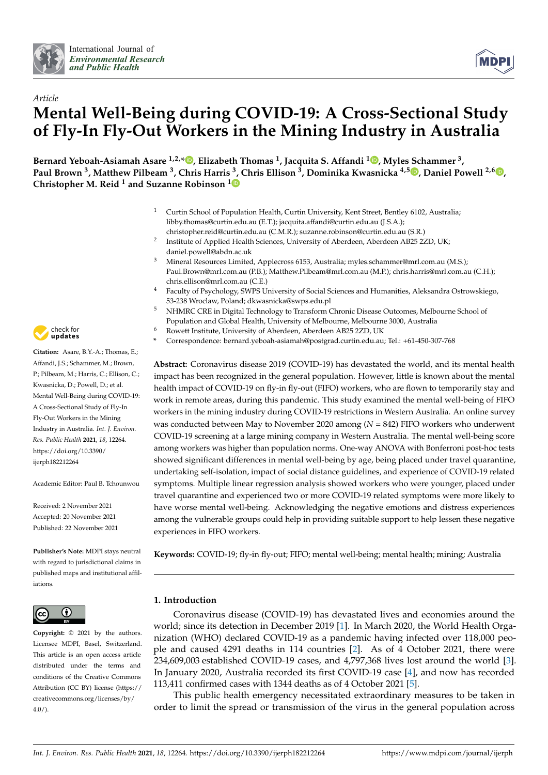



# *Article* **Mental Well-Being during COVID-19: A Cross-Sectional Study of Fly-In Fly-Out Workers in the Mining Industry in Australia**

**Bernard Yeboah-Asiamah Asare 1,2,[\\*](https://orcid.org/0000-0002-1381-4981) , Elizabeth Thomas <sup>1</sup> , Jacquita S. Affandi <sup>1</sup> [,](https://orcid.org/0000-0003-0095-3808) Myles Schammer <sup>3</sup> , Paul Brown <sup>3</sup> , Matthew Pilbeam <sup>3</sup> , Chris Harris <sup>3</sup> , Chris Ellison <sup>3</sup> , Dominika Kwasnicka 4,5 [,](https://orcid.org/0000-0002-5961-837X) Daniel Powell 2,[6](http://orcid.org/0000-0003-4995-6057) , Christopher M. Reid <sup>1</sup> and Suzanne Robinson [1](https://orcid.org/0000-0001-5703-6475)**

- <sup>1</sup> Curtin School of Population Health, Curtin University, Kent Street, Bentley 6102, Australia; libby.thomas@curtin.edu.au (E.T.); jacquita.affandi@curtin.edu.au (J.S.A.); christopher.reid@curtin.edu.au (C.M.R.); suzanne.robinson@curtin.edu.au (S.R.)
- 2 Institute of Applied Health Sciences, University of Aberdeen, Aberdeen AB25 2ZD, UK; daniel.powell@abdn.ac.uk
- <sup>3</sup> Mineral Resources Limited, Applecross 6153, Australia; myles.schammer@mrl.com.au (M.S.); Paul.Brown@mrl.com.au (P.B.); Matthew.Pilbeam@mrl.com.au (M.P.); chris.harris@mrl.com.au (C.H.); chris.ellison@mrl.com.au (C.E.)
- <sup>4</sup> Faculty of Psychology, SWPS University of Social Sciences and Humanities, Aleksandra Ostrowskiego, 53-238 Wroclaw, Poland; dkwasnicka@swps.edu.pl
- <sup>5</sup> NHMRC CRE in Digital Technology to Transform Chronic Disease Outcomes, Melbourne School of Population and Global Health, University of Melbourne, Melbourne 3000, Australia
- <sup>6</sup> Rowett Institute, University of Aberdeen, Aberdeen AB25 2ZD, UK
- **\*** Correspondence: bernard.yeboah-asiamah@postgrad.curtin.edu.au; Tel.: +61-450-307-768

**Abstract:** Coronavirus disease 2019 (COVID-19) has devastated the world, and its mental health impact has been recognized in the general population. However, little is known about the mental health impact of COVID-19 on fly-in fly-out (FIFO) workers, who are flown to temporarily stay and work in remote areas, during this pandemic. This study examined the mental well-being of FIFO workers in the mining industry during COVID-19 restrictions in Western Australia. An online survey was conducted between May to November 2020 among (*N* = 842) FIFO workers who underwent COVID-19 screening at a large mining company in Western Australia. The mental well-being score among workers was higher than population norms. One-way ANOVA with Bonferroni post-hoc tests showed significant differences in mental well-being by age, being placed under travel quarantine, undertaking self-isolation, impact of social distance guidelines, and experience of COVID-19 related symptoms. Multiple linear regression analysis showed workers who were younger, placed under travel quarantine and experienced two or more COVID-19 related symptoms were more likely to have worse mental well-being. Acknowledging the negative emotions and distress experiences among the vulnerable groups could help in providing suitable support to help lessen these negative experiences in FIFO workers.

**Keywords:** COVID-19; fly-in fly-out; FIFO; mental well-being; mental health; mining; Australia

## **1. Introduction**

Coronavirus disease (COVID-19) has devastated lives and economies around the world; since its detection in December 2019 [\[1\]](#page-10-0). In March 2020, the World Health Organization (WHO) declared COVID-19 as a pandemic having infected over 118,000 people and caused 4291 deaths in 114 countries [\[2\]](#page-10-1). As of 4 October 2021, there were 234,609,003 established COVID-19 cases, and 4,797,368 lives lost around the world [\[3\]](#page-10-2). In January 2020, Australia recorded its first COVID-19 case [\[4\]](#page-10-3), and now has recorded 113,411 confirmed cases with 1344 deaths as of 4 October 2021 [\[5\]](#page-10-4).

This public health emergency necessitated extraordinary measures to be taken in order to limit the spread or transmission of the virus in the general population across



**Citation:** Asare, B.Y.-A.; Thomas, E.; Affandi, J.S.; Schammer, M.; Brown, P.; Pilbeam, M.; Harris, C.; Ellison, C.; Kwasnicka, D.; Powell, D.; et al. Mental Well-Being during COVID-19: A Cross-Sectional Study of Fly-In Fly-Out Workers in the Mining Industry in Australia. *Int. J. Environ. Res. Public Health* **2021**, *18*, 12264. [https://doi.org/10.3390/](https://doi.org/10.3390/ijerph182212264) [ijerph182212264](https://doi.org/10.3390/ijerph182212264)

Academic Editor: Paul B. Tchounwou

Received: 2 November 2021 Accepted: 20 November 2021 Published: 22 November 2021

**Publisher's Note:** MDPI stays neutral with regard to jurisdictional claims in published maps and institutional affiliations.



**Copyright:** © 2021 by the authors. Licensee MDPI, Basel, Switzerland. This article is an open access article distributed under the terms and conditions of the Creative Commons Attribution (CC BY) license (https:/[/](https://creativecommons.org/licenses/by/4.0/) [creativecommons.org/licenses/by/](https://creativecommons.org/licenses/by/4.0/) 4.0/).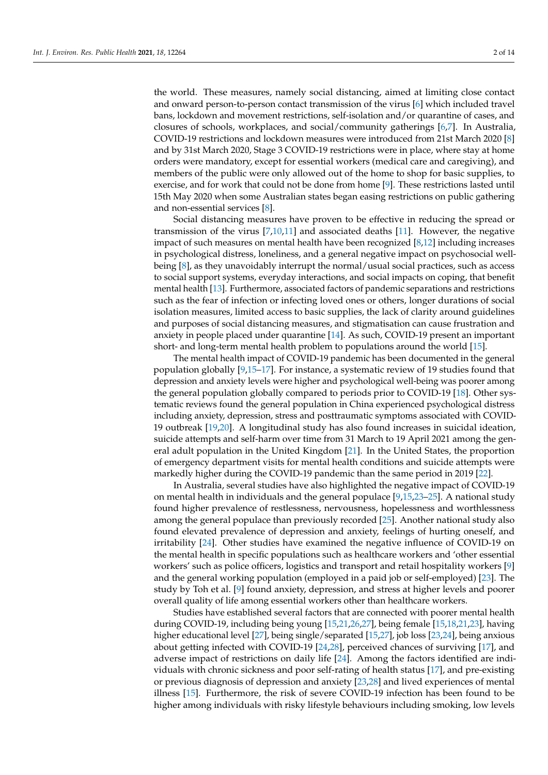the world. These measures, namely social distancing, aimed at limiting close contact and onward person-to-person contact transmission of the virus [\[6\]](#page-11-0) which included travel bans, lockdown and movement restrictions, self-isolation and/or quarantine of cases, and closures of schools, workplaces, and social/community gatherings [\[6](#page-11-0)[,7\]](#page-11-1). In Australia, COVID-19 restrictions and lockdown measures were introduced from 21st March 2020 [\[8\]](#page-11-2) and by 31st March 2020, Stage 3 COVID-19 restrictions were in place, where stay at home orders were mandatory, except for essential workers (medical care and caregiving), and members of the public were only allowed out of the home to shop for basic supplies, to exercise, and for work that could not be done from home [\[9\]](#page-11-3). These restrictions lasted until 15th May 2020 when some Australian states began easing restrictions on public gathering and non-essential services [\[8\]](#page-11-2).

Social distancing measures have proven to be effective in reducing the spread or transmission of the virus  $[7,10,11]$  $[7,10,11]$  $[7,10,11]$  and associated deaths  $[11]$ . However, the negative impact of such measures on mental health have been recognized [\[8,](#page-11-2)[12\]](#page-11-6) including increases in psychological distress, loneliness, and a general negative impact on psychosocial wellbeing [\[8\]](#page-11-2), as they unavoidably interrupt the normal/usual social practices, such as access to social support systems, everyday interactions, and social impacts on coping, that benefit mental health [\[13\]](#page-11-7). Furthermore, associated factors of pandemic separations and restrictions such as the fear of infection or infecting loved ones or others, longer durations of social isolation measures, limited access to basic supplies, the lack of clarity around guidelines and purposes of social distancing measures, and stigmatisation can cause frustration and anxiety in people placed under quarantine [\[14\]](#page-11-8). As such, COVID-19 present an important short- and long-term mental health problem to populations around the world [\[15\]](#page-11-9).

The mental health impact of COVID-19 pandemic has been documented in the general population globally [\[9](#page-11-3)[,15–](#page-11-9)[17\]](#page-11-10). For instance, a systematic review of 19 studies found that depression and anxiety levels were higher and psychological well-being was poorer among the general population globally compared to periods prior to COVID-19 [\[18\]](#page-11-11). Other systematic reviews found the general population in China experienced psychological distress including anxiety, depression, stress and posttraumatic symptoms associated with COVID-19 outbreak [\[19](#page-11-12)[,20\]](#page-11-13). A longitudinal study has also found increases in suicidal ideation, suicide attempts and self-harm over time from 31 March to 19 April 2021 among the general adult population in the United Kingdom [\[21\]](#page-11-14). In the United States, the proportion of emergency department visits for mental health conditions and suicide attempts were markedly higher during the COVID-19 pandemic than the same period in 2019 [\[22\]](#page-11-15).

In Australia, several studies have also highlighted the negative impact of COVID-19 on mental health in individuals and the general populace [\[9,](#page-11-3)[15,](#page-11-9)[23](#page-11-16)[–25\]](#page-11-17). A national study found higher prevalence of restlessness, nervousness, hopelessness and worthlessness among the general populace than previously recorded [\[25\]](#page-11-17). Another national study also found elevated prevalence of depression and anxiety, feelings of hurting oneself, and irritability [\[24\]](#page-11-18). Other studies have examined the negative influence of COVID-19 on the mental health in specific populations such as healthcare workers and 'other essential workers' such as police officers, logistics and transport and retail hospitality workers [\[9\]](#page-11-3) and the general working population (employed in a paid job or self-employed) [\[23\]](#page-11-16). The study by Toh et al. [\[9\]](#page-11-3) found anxiety, depression, and stress at higher levels and poorer overall quality of life among essential workers other than healthcare workers.

Studies have established several factors that are connected with poorer mental health during COVID-19, including being young [\[15](#page-11-9)[,21](#page-11-14)[,26](#page-11-19)[,27\]](#page-11-20), being female [\[15](#page-11-9)[,18,](#page-11-11)[21,](#page-11-14)[23\]](#page-11-16), having higher educational level [\[27\]](#page-11-20), being single/separated [\[15,](#page-11-9)[27\]](#page-11-20), job loss [\[23,](#page-11-16)[24\]](#page-11-18), being anxious about getting infected with COVID-19 [\[24,](#page-11-18)[28\]](#page-11-21), perceived chances of surviving [\[17\]](#page-11-10), and adverse impact of restrictions on daily life [\[24\]](#page-11-18). Among the factors identified are individuals with chronic sickness and poor self-rating of health status [\[17\]](#page-11-10), and pre-existing or previous diagnosis of depression and anxiety [\[23](#page-11-16)[,28\]](#page-11-21) and lived experiences of mental illness [\[15\]](#page-11-9). Furthermore, the risk of severe COVID-19 infection has been found to be higher among individuals with risky lifestyle behaviours including smoking, low levels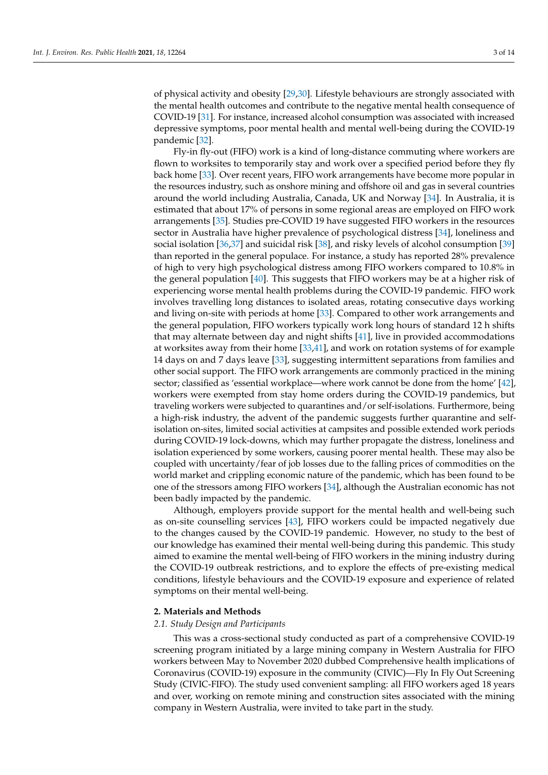of physical activity and obesity [\[29,](#page-11-22)[30\]](#page-12-0). Lifestyle behaviours are strongly associated with the mental health outcomes and contribute to the negative mental health consequence of COVID-19 [\[31\]](#page-12-1). For instance, increased alcohol consumption was associated with increased depressive symptoms, poor mental health and mental well-being during the COVID-19 pandemic [\[32\]](#page-12-2).

Fly-in fly-out (FIFO) work is a kind of long-distance commuting where workers are flown to worksites to temporarily stay and work over a specified period before they fly back home [\[33\]](#page-12-3). Over recent years, FIFO work arrangements have become more popular in the resources industry, such as onshore mining and offshore oil and gas in several countries around the world including Australia, Canada, UK and Norway [\[34\]](#page-12-4). In Australia, it is estimated that about 17% of persons in some regional areas are employed on FIFO work arrangements [\[35\]](#page-12-5). Studies pre-COVID 19 have suggested FIFO workers in the resources sector in Australia have higher prevalence of psychological distress [\[34\]](#page-12-4), loneliness and social isolation [\[36,](#page-12-6)[37\]](#page-12-7) and suicidal risk [\[38\]](#page-12-8), and risky levels of alcohol consumption [\[39\]](#page-12-9) than reported in the general populace. For instance, a study has reported 28% prevalence of high to very high psychological distress among FIFO workers compared to 10.8% in the general population [\[40\]](#page-12-10). This suggests that FIFO workers may be at a higher risk of experiencing worse mental health problems during the COVID-19 pandemic. FIFO work involves travelling long distances to isolated areas, rotating consecutive days working and living on-site with periods at home [\[33\]](#page-12-3). Compared to other work arrangements and the general population, FIFO workers typically work long hours of standard 12 h shifts that may alternate between day and night shifts [\[41\]](#page-12-11), live in provided accommodations at worksites away from their home [\[33,](#page-12-3)[41\]](#page-12-11), and work on rotation systems of for example 14 days on and 7 days leave [\[33\]](#page-12-3), suggesting intermittent separations from families and other social support. The FIFO work arrangements are commonly practiced in the mining sector; classified as 'essential workplace—where work cannot be done from the home' [\[42\]](#page-12-12), workers were exempted from stay home orders during the COVID-19 pandemics, but traveling workers were subjected to quarantines and/or self-isolations. Furthermore, being a high-risk industry, the advent of the pandemic suggests further quarantine and selfisolation on-sites, limited social activities at campsites and possible extended work periods during COVID-19 lock-downs, which may further propagate the distress, loneliness and isolation experienced by some workers, causing poorer mental health. These may also be coupled with uncertainty/fear of job losses due to the falling prices of commodities on the world market and crippling economic nature of the pandemic, which has been found to be one of the stressors among FIFO workers [\[34\]](#page-12-4), although the Australian economic has not been badly impacted by the pandemic.

Although, employers provide support for the mental health and well-being such as on-site counselling services [\[43\]](#page-12-13), FIFO workers could be impacted negatively due to the changes caused by the COVID-19 pandemic. However, no study to the best of our knowledge has examined their mental well-being during this pandemic. This study aimed to examine the mental well-being of FIFO workers in the mining industry during the COVID-19 outbreak restrictions, and to explore the effects of pre-existing medical conditions, lifestyle behaviours and the COVID-19 exposure and experience of related symptoms on their mental well-being.

#### **2. Materials and Methods**

#### *2.1. Study Design and Participants*

This was a cross-sectional study conducted as part of a comprehensive COVID-19 screening program initiated by a large mining company in Western Australia for FIFO workers between May to November 2020 dubbed Comprehensive health implications of Coronavirus (COVID-19) exposure in the community (CIVIC)—Fly In Fly Out Screening Study (CIVIC-FIFO). The study used convenient sampling: all FIFO workers aged 18 years and over, working on remote mining and construction sites associated with the mining company in Western Australia, were invited to take part in the study.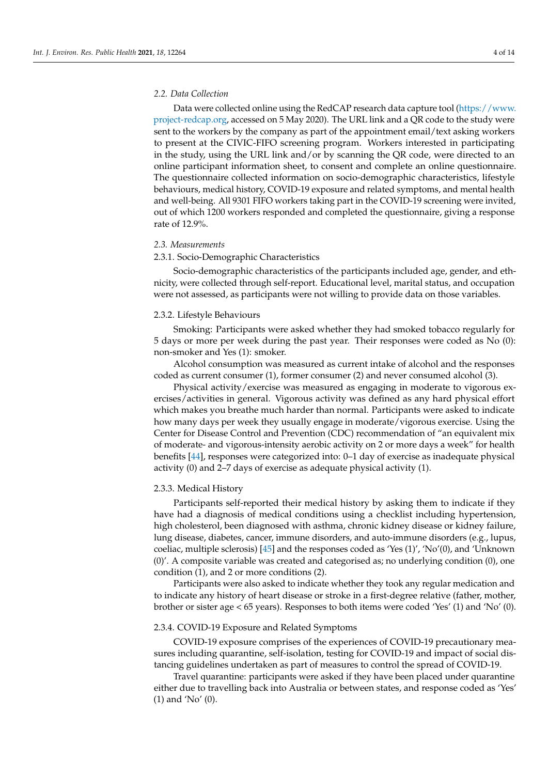#### *2.2. Data Collection*

Data were collected online using the RedCAP research data capture tool [\(https://www.](https://www.project-redcap.org) [project-redcap.org,](https://www.project-redcap.org) accessed on 5 May 2020). The URL link and a QR code to the study were sent to the workers by the company as part of the appointment email/text asking workers to present at the CIVIC-FIFO screening program. Workers interested in participating in the study, using the URL link and/or by scanning the QR code, were directed to an online participant information sheet, to consent and complete an online questionnaire. The questionnaire collected information on socio-demographic characteristics, lifestyle behaviours, medical history, COVID-19 exposure and related symptoms, and mental health and well-being. All 9301 FIFO workers taking part in the COVID-19 screening were invited, out of which 1200 workers responded and completed the questionnaire, giving a response rate of 12.9%.

#### *2.3. Measurements*

## 2.3.1. Socio-Demographic Characteristics

Socio-demographic characteristics of the participants included age, gender, and ethnicity, were collected through self-report. Educational level, marital status, and occupation were not assessed, as participants were not willing to provide data on those variables.

#### 2.3.2. Lifestyle Behaviours

Smoking: Participants were asked whether they had smoked tobacco regularly for 5 days or more per week during the past year. Their responses were coded as No (0): non-smoker and Yes (1): smoker.

Alcohol consumption was measured as current intake of alcohol and the responses coded as current consumer (1), former consumer (2) and never consumed alcohol (3).

Physical activity/exercise was measured as engaging in moderate to vigorous exercises/activities in general. Vigorous activity was defined as any hard physical effort which makes you breathe much harder than normal. Participants were asked to indicate how many days per week they usually engage in moderate/vigorous exercise. Using the Center for Disease Control and Prevention (CDC) recommendation of "an equivalent mix of moderate- and vigorous-intensity aerobic activity on 2 or more days a week" for health benefits [\[44\]](#page-12-14), responses were categorized into: 0–1 day of exercise as inadequate physical activity (0) and 2–7 days of exercise as adequate physical activity (1).

### 2.3.3. Medical History

Participants self-reported their medical history by asking them to indicate if they have had a diagnosis of medical conditions using a checklist including hypertension, high cholesterol, been diagnosed with asthma, chronic kidney disease or kidney failure, lung disease, diabetes, cancer, immune disorders, and auto-immune disorders (e.g., lupus, coeliac, multiple sclerosis) [\[45\]](#page-12-15) and the responses coded as 'Yes (1)', 'No'(0), and 'Unknown (0)'. A composite variable was created and categorised as; no underlying condition (0), one condition (1), and 2 or more conditions (2).

Participants were also asked to indicate whether they took any regular medication and to indicate any history of heart disease or stroke in a first-degree relative (father, mother, brother or sister age < 65 years). Responses to both items were coded 'Yes' (1) and 'No' (0).

## 2.3.4. COVID-19 Exposure and Related Symptoms

COVID-19 exposure comprises of the experiences of COVID-19 precautionary measures including quarantine, self-isolation, testing for COVID-19 and impact of social distancing guidelines undertaken as part of measures to control the spread of COVID-19.

Travel quarantine: participants were asked if they have been placed under quarantine either due to travelling back into Australia or between states, and response coded as 'Yes' (1) and 'No' (0).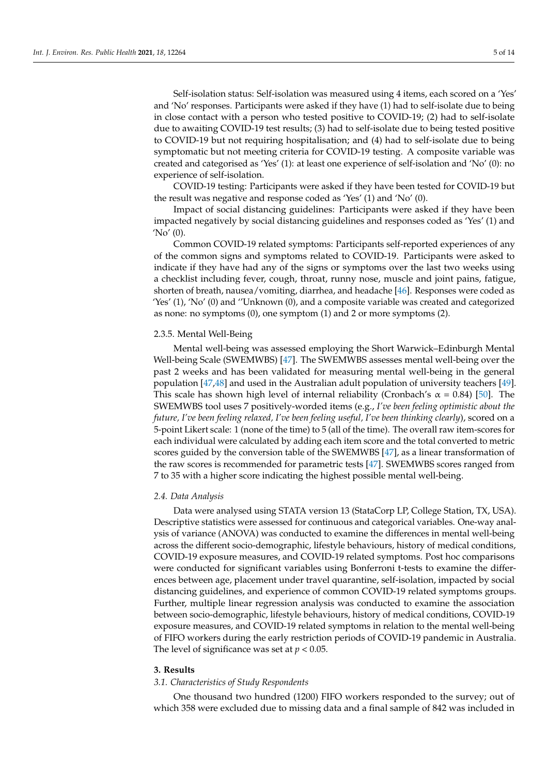Self-isolation status: Self-isolation was measured using 4 items, each scored on a 'Yes' and 'No' responses. Participants were asked if they have (1) had to self-isolate due to being in close contact with a person who tested positive to COVID-19; (2) had to self-isolate due to awaiting COVID-19 test results; (3) had to self-isolate due to being tested positive to COVID-19 but not requiring hospitalisation; and (4) had to self-isolate due to being symptomatic but not meeting criteria for COVID-19 testing. A composite variable was created and categorised as 'Yes' (1): at least one experience of self-isolation and 'No' (0): no experience of self-isolation.

COVID-19 testing: Participants were asked if they have been tested for COVID-19 but the result was negative and response coded as 'Yes' (1) and 'No' (0).

Impact of social distancing guidelines: Participants were asked if they have been impacted negatively by social distancing guidelines and responses coded as 'Yes' (1) and 'No' (0).

Common COVID-19 related symptoms: Participants self-reported experiences of any of the common signs and symptoms related to COVID-19. Participants were asked to indicate if they have had any of the signs or symptoms over the last two weeks using a checklist including fever, cough, throat, runny nose, muscle and joint pains, fatigue, shorten of breath, nausea/vomiting, diarrhea, and headache [\[46\]](#page-12-16). Responses were coded as 'Yes' (1), 'No' (0) and ''Unknown (0), and a composite variable was created and categorized as none: no symptoms (0), one symptom (1) and 2 or more symptoms (2).

#### 2.3.5. Mental Well-Being

Mental well-being was assessed employing the Short Warwick–Edinburgh Mental Well-being Scale (SWEMWBS) [\[47\]](#page-12-17). The SWEMWBS assesses mental well-being over the past 2 weeks and has been validated for measuring mental well-being in the general population [\[47,](#page-12-17)[48\]](#page-12-18) and used in the Australian adult population of university teachers [\[49\]](#page-12-19). This scale has shown high level of internal reliability (Cronbach's  $\alpha = 0.84$ ) [\[50\]](#page-12-20). The SWEMWBS tool uses 7 positively-worded items (e.g., *I've been feeling optimistic about the future, I've been feeling relaxed, I've been feeling useful, I've been thinking clearly*), scored on a 5-point Likert scale: 1 (none of the time) to 5 (all of the time). The overall raw item-scores for each individual were calculated by adding each item score and the total converted to metric scores guided by the conversion table of the SWEMWBS [\[47\]](#page-12-17), as a linear transformation of the raw scores is recommended for parametric tests [\[47\]](#page-12-17). SWEMWBS scores ranged from 7 to 35 with a higher score indicating the highest possible mental well-being.

#### *2.4. Data Analysis*

Data were analysed using STATA version 13 (StataCorp LP, College Station, TX, USA). Descriptive statistics were assessed for continuous and categorical variables. One-way analysis of variance (ANOVA) was conducted to examine the differences in mental well-being across the different socio-demographic, lifestyle behaviours, history of medical conditions, COVID-19 exposure measures, and COVID-19 related symptoms. Post hoc comparisons were conducted for significant variables using Bonferroni t-tests to examine the differences between age, placement under travel quarantine, self-isolation, impacted by social distancing guidelines, and experience of common COVID-19 related symptoms groups. Further, multiple linear regression analysis was conducted to examine the association between socio-demographic, lifestyle behaviours, history of medical conditions, COVID-19 exposure measures, and COVID-19 related symptoms in relation to the mental well-being of FIFO workers during the early restriction periods of COVID-19 pandemic in Australia. The level of significance was set at  $p < 0.05$ .

## **3. Results**

## *3.1. Characteristics of Study Respondents*

One thousand two hundred (1200) FIFO workers responded to the survey; out of which 358 were excluded due to missing data and a final sample of 842 was included in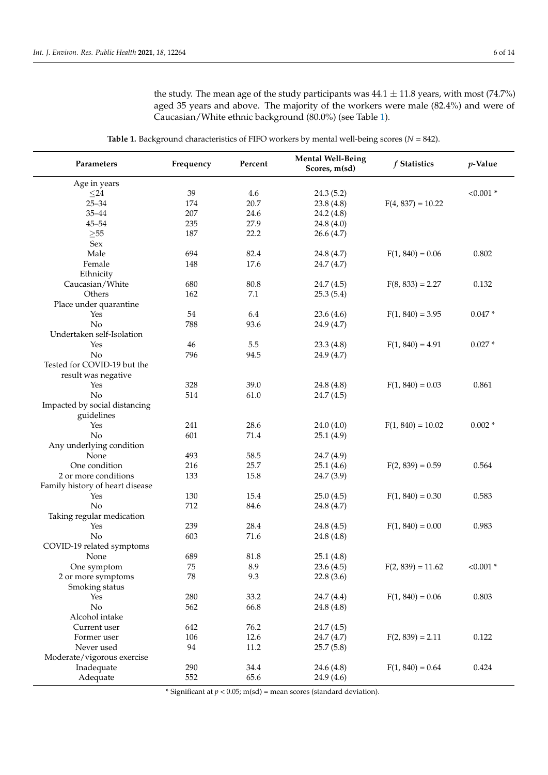the study. The mean age of the study participants was  $44.1 \pm 11.8$  years, with most (74.7%) aged 35 years and above. The majority of the workers were male (82.4%) and were of Caucasian/White ethnic background (80.0%) (see Table [1\)](#page-5-0).

<span id="page-5-0"></span>

| were 1. Bachground characteribiles of FIFI $\circ$ workers $\circ$ memain well being secres (Fi |           |          |                                           |                     |             |  |  |  |
|-------------------------------------------------------------------------------------------------|-----------|----------|-------------------------------------------|---------------------|-------------|--|--|--|
| Parameters                                                                                      | Frequency | Percent  | <b>Mental Well-Being</b><br>Scores, m(sd) | f Statistics        | $p$ -Value  |  |  |  |
| Age in years                                                                                    |           |          |                                           |                     |             |  |  |  |
| $\leq$ 24                                                                                       | 39        | 4.6      | 24.3(5.2)                                 |                     | $< 0.001$ * |  |  |  |
| $25 - 34$                                                                                       | 174       | 20.7     | 23.8(4.8)                                 | $F(4, 837) = 10.22$ |             |  |  |  |
| $35 - 44$                                                                                       | 207       | 24.6     | 24.2 (4.8)                                |                     |             |  |  |  |
| $45 - 54$                                                                                       | 235       | 27.9     | 24.8(4.0)                                 |                     |             |  |  |  |
| $\geq 55$                                                                                       | 187       | 22.2     | 26.6(4.7)                                 |                     |             |  |  |  |
| Sex                                                                                             |           |          |                                           |                     |             |  |  |  |
| Male                                                                                            | 694       | 82.4     | 24.8 (4.7)                                | $F(1, 840) = 0.06$  | 0.802       |  |  |  |
| Female                                                                                          | 148       | 17.6     | 24.7 (4.7)                                |                     |             |  |  |  |
| Ethnicity                                                                                       |           |          |                                           |                     |             |  |  |  |
| Caucasian/White                                                                                 | 680       | 80.8     | 24.7(4.5)                                 | $F(8, 833) = 2.27$  | 0.132       |  |  |  |
| Others                                                                                          | 162       | 7.1      | 25.3(5.4)                                 |                     |             |  |  |  |
| Place under quarantine                                                                          |           |          |                                           |                     |             |  |  |  |
| Yes                                                                                             | 54        | 6.4      | 23.6(4.6)                                 | $F(1, 840) = 3.95$  | $0.047*$    |  |  |  |
| No                                                                                              | 788       | 93.6     | 24.9 (4.7)                                |                     |             |  |  |  |
| Undertaken self-Isolation                                                                       |           |          |                                           |                     |             |  |  |  |
| Yes                                                                                             | 46        | 5.5      | 23.3(4.8)                                 | $F(1, 840) = 4.91$  | $0.027*$    |  |  |  |
| No                                                                                              | 796       | 94.5     | 24.9 (4.7)                                |                     |             |  |  |  |
| Tested for COVID-19 but the                                                                     |           |          |                                           |                     |             |  |  |  |
| result was negative                                                                             |           |          |                                           |                     |             |  |  |  |
| Yes                                                                                             | 328       | 39.0     | 24.8 (4.8)                                | $F(1, 840) = 0.03$  | 0.861       |  |  |  |
| No                                                                                              | 514       | 61.0     | 24.7(4.5)                                 |                     |             |  |  |  |
| Impacted by social distancing                                                                   |           |          |                                           |                     |             |  |  |  |
| guidelines                                                                                      |           |          |                                           |                     |             |  |  |  |
| Yes                                                                                             | 241       | 28.6     | 24.0(4.0)                                 | $F(1, 840) = 10.02$ | $0.002*$    |  |  |  |
| No                                                                                              | 601       | 71.4     | 25.1(4.9)                                 |                     |             |  |  |  |
| Any underlying condition                                                                        |           |          |                                           |                     |             |  |  |  |
| None                                                                                            | 493       | 58.5     | 24.7 (4.9)                                |                     |             |  |  |  |
| One condition                                                                                   | 216       | 25.7     | 25.1(4.6)                                 | $F(2, 839) = 0.59$  | 0.564       |  |  |  |
| 2 or more conditions                                                                            | 133       | 15.8     | 24.7(3.9)                                 |                     |             |  |  |  |
| Family history of heart disease                                                                 |           |          |                                           |                     |             |  |  |  |
| Yes                                                                                             | 130       | 15.4     | 25.0(4.5)                                 | $F(1, 840) = 0.30$  | 0.583       |  |  |  |
| No                                                                                              | 712       | 84.6     | 24.8 (4.7)                                |                     |             |  |  |  |
| Taking regular medication                                                                       |           |          |                                           |                     |             |  |  |  |
| Yes                                                                                             | 239       | 28.4     | 24.8(4.5)                                 | $F(1, 840) = 0.00$  | 0.983       |  |  |  |
| No                                                                                              | 603       | 71.6     | 24.8 (4.8)                                |                     |             |  |  |  |
| COVID-19 related symptoms                                                                       |           |          |                                           |                     |             |  |  |  |
| None                                                                                            | 689       | $81.8\,$ | 25.1(4.8)                                 |                     |             |  |  |  |
| One symptom                                                                                     | 75        | 8.9      | 23.6(4.5)                                 | $F(2, 839) = 11.62$ | $< 0.001$ * |  |  |  |
| 2 or more symptoms                                                                              | 78        | 9.3      | 22.8(3.6)                                 |                     |             |  |  |  |
| Smoking status                                                                                  |           |          |                                           |                     |             |  |  |  |
| Yes                                                                                             | 280       | 33.2     | 24.7 (4.4)                                | $F(1, 840) = 0.06$  | 0.803       |  |  |  |
| No                                                                                              | 562       | 66.8     | 24.8 (4.8)                                |                     |             |  |  |  |
| Alcohol intake                                                                                  |           |          |                                           |                     |             |  |  |  |
| Current user                                                                                    | 642       | 76.2     | 24.7(4.5)                                 |                     |             |  |  |  |
| Former user                                                                                     | 106       | 12.6     | 24.7 (4.7)                                | $F(2, 839) = 2.11$  | 0.122       |  |  |  |
| Never used                                                                                      | 94        | 11.2     | 25.7(5.8)                                 |                     |             |  |  |  |
| Moderate/vigorous exercise                                                                      |           |          |                                           |                     |             |  |  |  |
| Inadequate                                                                                      | 290       | 34.4     | 24.6 (4.8)                                | $F(1, 840) = 0.64$  | 0.424       |  |  |  |
| Adequate                                                                                        | 552       | 65.6     | 24.9(4.6)                                 |                     |             |  |  |  |
|                                                                                                 |           |          |                                           |                     |             |  |  |  |

**Table 1.** Background characteristics of FIFO workers by mental well-being scores (*N* = 842).

\* Significant at  $p < 0.05$ ; m(sd) = mean scores (standard deviation).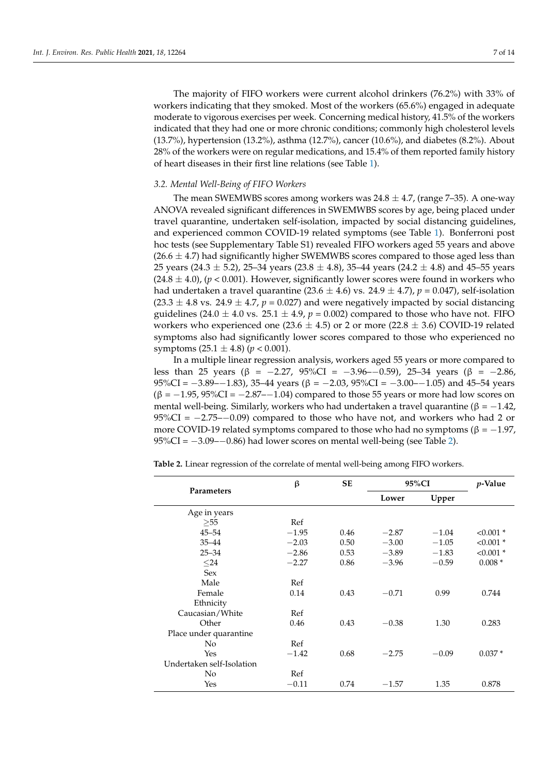The majority of FIFO workers were current alcohol drinkers (76.2%) with 33% of workers indicating that they smoked. Most of the workers (65.6%) engaged in adequate moderate to vigorous exercises per week. Concerning medical history, 41.5% of the workers indicated that they had one or more chronic conditions; commonly high cholesterol levels (13.7%), hypertension (13.2%), asthma (12.7%), cancer (10.6%), and diabetes (8.2%). About 28% of the workers were on regular medications, and 15.4% of them reported family history of heart diseases in their first line relations (see Table [1\)](#page-5-0).

## *3.2. Mental Well-Being of FIFO Workers*

The mean SWEMWBS scores among workers was  $24.8 \pm 4.7$ , (range 7–35). A one-way ANOVA revealed significant differences in SWEMWBS scores by age, being placed under travel quarantine, undertaken self-isolation, impacted by social distancing guidelines, and experienced common COVID-19 related symptoms (see Table [1\)](#page-5-0). Bonferroni post hoc tests (see Supplementary Table S1) revealed FIFO workers aged 55 years and above  $(26.6 \pm 4.7)$  had significantly higher SWEMWBS scores compared to those aged less than 25 years (24.3  $\pm$  5.2), 25–34 years (23.8  $\pm$  4.8), 35–44 years (24.2  $\pm$  4.8) and 45–55 years  $(24.8 \pm 4.0)$ ,  $(p < 0.001)$ . However, significantly lower scores were found in workers who had undertaken a travel quarantine  $(23.6 \pm 4.6)$  vs.  $24.9 \pm 4.7$ ),  $p = 0.047$ ), self-isolation  $(23.3 \pm 4.8 \text{ vs. } 24.9 \pm 4.7, p = 0.027)$  and were negatively impacted by social distancing guidelines (24.0  $\pm$  4.0 vs. 25.1  $\pm$  4.9,  $p = 0.002$ ) compared to those who have not. FIFO workers who experienced one (23.6  $\pm$  4.5) or 2 or more (22.8  $\pm$  3.6) COVID-19 related symptoms also had significantly lower scores compared to those who experienced no symptoms  $(25.1 \pm 4.8)$   $(p < 0.001)$ .

In a multiple linear regression analysis, workers aged 55 years or more compared to less than 25 years (β = −2.27, 95%CI = −3.96−−0.59), 25–34 years (β = −2.86, 95%CI =  $-3.89-1.83$ , 35–44 years (β =  $-2.03$ , 95%CI =  $-3.00-1.05$ ) and 45–54 years  $(\beta = -1.95, 95\%CI = -2.87-1.04)$  compared to those 55 years or more had low scores on mental well-being. Similarly, workers who had undertaken a travel quarantine ( $\beta = -1.42$ , 95%CI = −2.75–−0.09) compared to those who have not, and workers who had 2 or more COVID-19 related symptoms compared to those who had no symptoms (β =  $-1.97$ ,  $95\%CI = -3.09 - -0.86$ ) had lower scores on mental well-being (see Table [2\)](#page-7-0).

**Table 2.** Linear regression of the correlate of mental well-being among FIFO workers.

|                           | β       | <b>SE</b> | 95%CI   |         | <i>p</i> -Value |
|---------------------------|---------|-----------|---------|---------|-----------------|
| Parameters                |         |           | Lower   | Upper   |                 |
| Age in years              |         |           |         |         |                 |
| >55                       | Ref     |           |         |         |                 |
| $45 - 54$                 | $-1.95$ | 0.46      | $-2.87$ | $-1.04$ | $< 0.001$ *     |
| $35 - 44$                 | $-2.03$ | 0.50      | $-3.00$ | $-1.05$ | $< 0.001$ *     |
| $25 - 34$                 | $-2.86$ | 0.53      | $-3.89$ | $-1.83$ | $< 0.001$ *     |
| $24$                      | $-2.27$ | 0.86      | $-3.96$ | $-0.59$ | $0.008*$        |
| <b>Sex</b>                |         |           |         |         |                 |
| Male                      | Ref     |           |         |         |                 |
| Female                    | 0.14    | 0.43      | $-0.71$ | 0.99    | 0.744           |
| Ethnicity                 |         |           |         |         |                 |
| Caucasian/White           | Ref     |           |         |         |                 |
| Other                     | 0.46    | 0.43      | $-0.38$ | 1.30    | 0.283           |
| Place under quarantine    |         |           |         |         |                 |
| N <sub>0</sub>            | Ref     |           |         |         |                 |
| Yes                       | $-1.42$ | 0.68      | $-2.75$ | $-0.09$ | $0.037*$        |
| Undertaken self-Isolation |         |           |         |         |                 |
| N <sub>0</sub>            | Ref     |           |         |         |                 |
| Yes                       | $-0.11$ | 0.74      | $-1.57$ | 1.35    | 0.878           |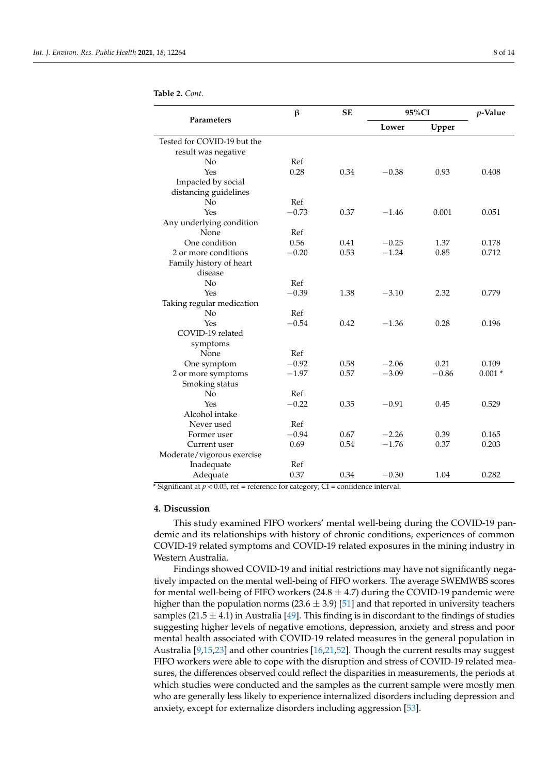|                             | $\beta$<br><b>SE</b> |      | 95%CI   |         | $p$ -Value |
|-----------------------------|----------------------|------|---------|---------|------------|
| Parameters                  |                      |      | Lower   | Upper   |            |
| Tested for COVID-19 but the |                      |      |         |         |            |
| result was negative         |                      |      |         |         |            |
| No                          | Ref                  |      |         |         |            |
| Yes                         | 0.28                 | 0.34 | $-0.38$ | 0.93    | 0.408      |
| Impacted by social          |                      |      |         |         |            |
| distancing guidelines       |                      |      |         |         |            |
| No                          | Ref                  |      |         |         |            |
| Yes                         | $-0.73$              | 0.37 | $-1.46$ | 0.001   | 0.051      |
| Any underlying condition    |                      |      |         |         |            |
| None                        | Ref                  |      |         |         |            |
| One condition               | 0.56                 | 0.41 | $-0.25$ | 1.37    | 0.178      |
| 2 or more conditions        | $-0.20$              | 0.53 | $-1.24$ | 0.85    | 0.712      |
| Family history of heart     |                      |      |         |         |            |
| disease                     |                      |      |         |         |            |
| No                          | Ref                  |      |         |         |            |
| Yes                         | $-0.39$              | 1.38 | $-3.10$ | 2.32    | 0.779      |
| Taking regular medication   |                      |      |         |         |            |
| No                          | Ref                  |      |         |         |            |
| Yes                         | $-0.54$              | 0.42 | $-1.36$ | 0.28    | 0.196      |
| COVID-19 related            |                      |      |         |         |            |
| symptoms                    |                      |      |         |         |            |
| None                        | Ref                  |      |         |         |            |
| One symptom                 | $-0.92$              | 0.58 | $-2.06$ | 0.21    | 0.109      |
| 2 or more symptoms          | $-1.97$              | 0.57 | $-3.09$ | $-0.86$ | $0.001*$   |
| Smoking status              |                      |      |         |         |            |
| No                          | Ref                  |      |         |         |            |
| Yes                         | $-0.22$              | 0.35 | $-0.91$ | 0.45    | 0.529      |
| Alcohol intake              |                      |      |         |         |            |
| Never used                  | Ref                  |      |         |         |            |
| Former user                 | $-0.94$              | 0.67 | $-2.26$ | 0.39    | 0.165      |
| Current user                | 0.69                 | 0.54 | $-1.76$ | 0.37    | 0.203      |
| Moderate/vigorous exercise  |                      |      |         |         |            |
| Inadequate                  | Ref                  |      |         |         |            |
| Adequate                    | 0.37                 | 0.34 | $-0.30$ | 1.04    | 0.282      |

<span id="page-7-0"></span>**Table 2.** *Cont.*

\* Significant at  $p < 0.05$ , ref = reference for category; CI = confidence interval.

#### **4. Discussion**

This study examined FIFO workers' mental well-being during the COVID-19 pandemic and its relationships with history of chronic conditions, experiences of common COVID-19 related symptoms and COVID-19 related exposures in the mining industry in Western Australia.

Findings showed COVID-19 and initial restrictions may have not significantly negatively impacted on the mental well-being of FIFO workers. The average SWEMWBS scores for mental well-being of FIFO workers  $(24.8 \pm 4.7)$  during the COVID-19 pandemic were higher than the population norms ( $23.6 \pm 3.9$ ) [\[51\]](#page-12-21) and that reported in university teachers samples (21.5  $\pm$  4.1) in Australia [\[49\]](#page-12-19). This finding is in discordant to the findings of studies suggesting higher levels of negative emotions, depression, anxiety and stress and poor mental health associated with COVID-19 related measures in the general population in Australia [\[9,](#page-11-3)[15](#page-11-9)[,23\]](#page-11-16) and other countries [\[16,](#page-11-23)[21,](#page-11-14)[52\]](#page-12-22). Though the current results may suggest FIFO workers were able to cope with the disruption and stress of COVID-19 related measures, the differences observed could reflect the disparities in measurements, the periods at which studies were conducted and the samples as the current sample were mostly men who are generally less likely to experience internalized disorders including depression and anxiety, except for externalize disorders including aggression [\[53\]](#page-12-23).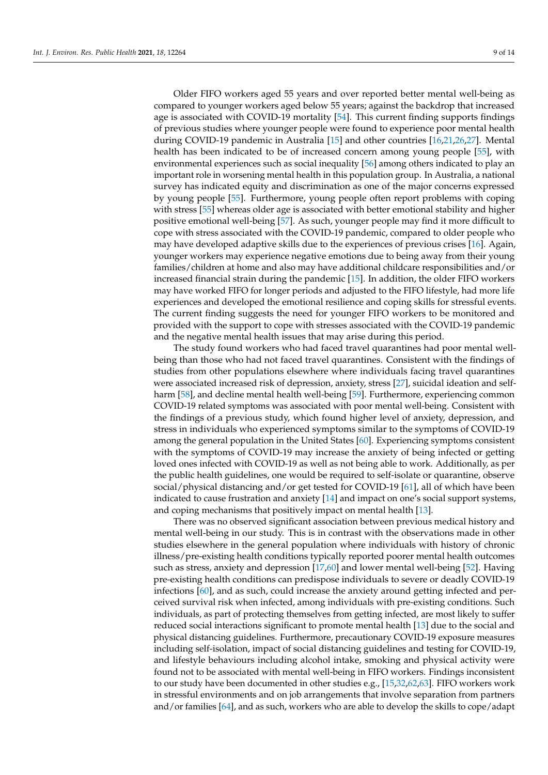Older FIFO workers aged 55 years and over reported better mental well-being as compared to younger workers aged below 55 years; against the backdrop that increased age is associated with COVID-19 mortality [\[54\]](#page-13-0). This current finding supports findings of previous studies where younger people were found to experience poor mental health during COVID-19 pandemic in Australia [\[15\]](#page-11-9) and other countries [\[16,](#page-11-23)[21,](#page-11-14)[26,](#page-11-19)[27\]](#page-11-20). Mental health has been indicated to be of increased concern among young people [\[55\]](#page-13-1), with environmental experiences such as social inequality [\[56\]](#page-13-2) among others indicated to play an important role in worsening mental health in this population group. In Australia, a national survey has indicated equity and discrimination as one of the major concerns expressed by young people [\[55\]](#page-13-1). Furthermore, young people often report problems with coping with stress [\[55\]](#page-13-1) whereas older age is associated with better emotional stability and higher positive emotional well-being [\[57\]](#page-13-3). As such, younger people may find it more difficult to cope with stress associated with the COVID-19 pandemic, compared to older people who may have developed adaptive skills due to the experiences of previous crises [\[16\]](#page-11-23). Again, younger workers may experience negative emotions due to being away from their young families/children at home and also may have additional childcare responsibilities and/or increased financial strain during the pandemic [\[15\]](#page-11-9). In addition, the older FIFO workers may have worked FIFO for longer periods and adjusted to the FIFO lifestyle, had more life experiences and developed the emotional resilience and coping skills for stressful events. The current finding suggests the need for younger FIFO workers to be monitored and provided with the support to cope with stresses associated with the COVID-19 pandemic and the negative mental health issues that may arise during this period.

The study found workers who had faced travel quarantines had poor mental wellbeing than those who had not faced travel quarantines. Consistent with the findings of studies from other populations elsewhere where individuals facing travel quarantines were associated increased risk of depression, anxiety, stress [\[27\]](#page-11-20), suicidal ideation and self-harm [\[58\]](#page-13-4), and decline mental health well-being [\[59\]](#page-13-5). Furthermore, experiencing common COVID-19 related symptoms was associated with poor mental well-being. Consistent with the findings of a previous study, which found higher level of anxiety, depression, and stress in individuals who experienced symptoms similar to the symptoms of COVID-19 among the general population in the United States [\[60\]](#page-13-6). Experiencing symptoms consistent with the symptoms of COVID-19 may increase the anxiety of being infected or getting loved ones infected with COVID-19 as well as not being able to work. Additionally, as per the public health guidelines, one would be required to self-isolate or quarantine, observe social/physical distancing and/or get tested for COVID-19 [\[61\]](#page-13-7), all of which have been indicated to cause frustration and anxiety [\[14\]](#page-11-8) and impact on one's social support systems, and coping mechanisms that positively impact on mental health [\[13\]](#page-11-7).

There was no observed significant association between previous medical history and mental well-being in our study. This is in contrast with the observations made in other studies elsewhere in the general population where individuals with history of chronic illness/pre-existing health conditions typically reported poorer mental health outcomes such as stress, anxiety and depression [\[17,](#page-11-10)[60\]](#page-13-6) and lower mental well-being [\[52\]](#page-12-22). Having pre-existing health conditions can predispose individuals to severe or deadly COVID-19 infections [\[60\]](#page-13-6), and as such, could increase the anxiety around getting infected and perceived survival risk when infected, among individuals with pre-existing conditions. Such individuals, as part of protecting themselves from getting infected, are most likely to suffer reduced social interactions significant to promote mental health [\[13\]](#page-11-7) due to the social and physical distancing guidelines. Furthermore, precautionary COVID-19 exposure measures including self-isolation, impact of social distancing guidelines and testing for COVID-19, and lifestyle behaviours including alcohol intake, smoking and physical activity were found not to be associated with mental well-being in FIFO workers. Findings inconsistent to our study have been documented in other studies e.g., [\[15](#page-11-9)[,32](#page-12-2)[,62](#page-13-8)[,63\]](#page-13-9). FIFO workers work in stressful environments and on job arrangements that involve separation from partners and/or families [\[64\]](#page-13-10), and as such, workers who are able to develop the skills to cope/adapt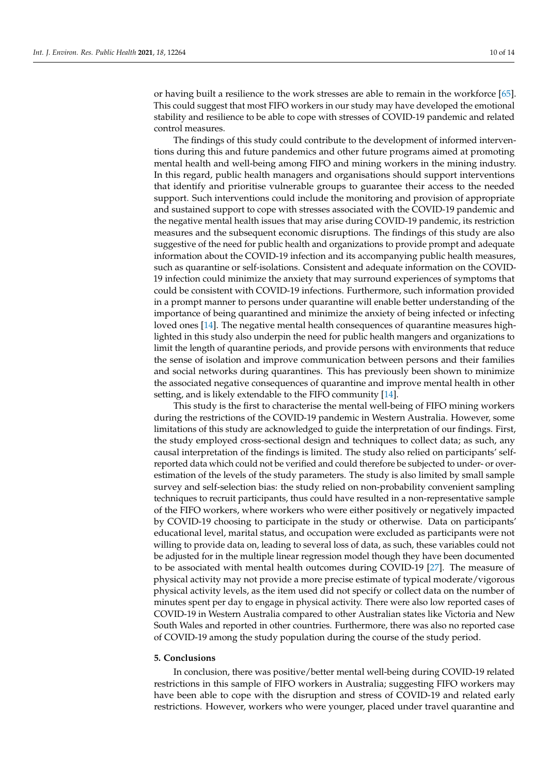or having built a resilience to the work stresses are able to remain in the workforce [\[65\]](#page-13-11). This could suggest that most FIFO workers in our study may have developed the emotional stability and resilience to be able to cope with stresses of COVID-19 pandemic and related control measures.

The findings of this study could contribute to the development of informed interventions during this and future pandemics and other future programs aimed at promoting mental health and well-being among FIFO and mining workers in the mining industry. In this regard, public health managers and organisations should support interventions that identify and prioritise vulnerable groups to guarantee their access to the needed support. Such interventions could include the monitoring and provision of appropriate and sustained support to cope with stresses associated with the COVID-19 pandemic and the negative mental health issues that may arise during COVID-19 pandemic, its restriction measures and the subsequent economic disruptions. The findings of this study are also suggestive of the need for public health and organizations to provide prompt and adequate information about the COVID-19 infection and its accompanying public health measures, such as quarantine or self-isolations. Consistent and adequate information on the COVID-19 infection could minimize the anxiety that may surround experiences of symptoms that could be consistent with COVID-19 infections. Furthermore, such information provided in a prompt manner to persons under quarantine will enable better understanding of the importance of being quarantined and minimize the anxiety of being infected or infecting loved ones [\[14\]](#page-11-8). The negative mental health consequences of quarantine measures highlighted in this study also underpin the need for public health mangers and organizations to limit the length of quarantine periods, and provide persons with environments that reduce the sense of isolation and improve communication between persons and their families and social networks during quarantines. This has previously been shown to minimize the associated negative consequences of quarantine and improve mental health in other setting, and is likely extendable to the FIFO community [\[14\]](#page-11-8).

This study is the first to characterise the mental well-being of FIFO mining workers during the restrictions of the COVID-19 pandemic in Western Australia. However, some limitations of this study are acknowledged to guide the interpretation of our findings. First, the study employed cross-sectional design and techniques to collect data; as such, any causal interpretation of the findings is limited. The study also relied on participants' selfreported data which could not be verified and could therefore be subjected to under- or overestimation of the levels of the study parameters. The study is also limited by small sample survey and self-selection bias: the study relied on non-probability convenient sampling techniques to recruit participants, thus could have resulted in a non-representative sample of the FIFO workers, where workers who were either positively or negatively impacted by COVID-19 choosing to participate in the study or otherwise. Data on participants' educational level, marital status, and occupation were excluded as participants were not willing to provide data on, leading to several loss of data, as such, these variables could not be adjusted for in the multiple linear regression model though they have been documented to be associated with mental health outcomes during COVID-19 [\[27\]](#page-11-20). The measure of physical activity may not provide a more precise estimate of typical moderate/vigorous physical activity levels, as the item used did not specify or collect data on the number of minutes spent per day to engage in physical activity. There were also low reported cases of COVID-19 in Western Australia compared to other Australian states like Victoria and New South Wales and reported in other countries. Furthermore, there was also no reported case of COVID-19 among the study population during the course of the study period.

## **5. Conclusions**

In conclusion, there was positive/better mental well-being during COVID-19 related restrictions in this sample of FIFO workers in Australia; suggesting FIFO workers may have been able to cope with the disruption and stress of COVID-19 and related early restrictions. However, workers who were younger, placed under travel quarantine and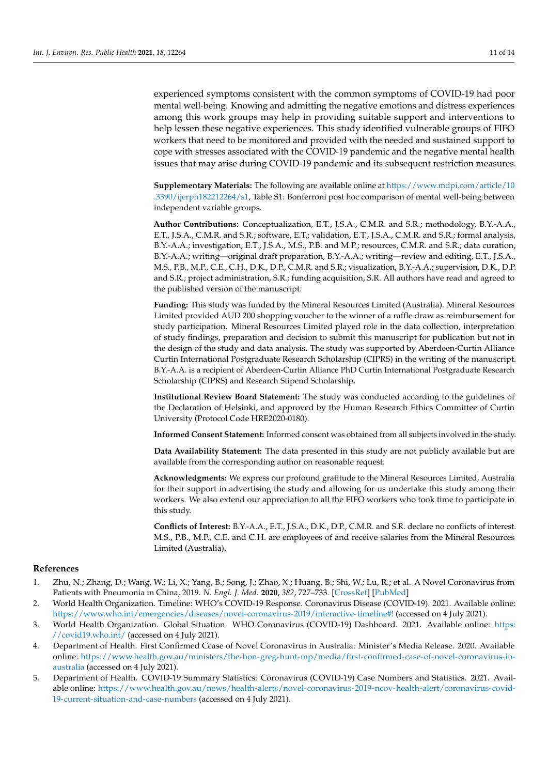experienced symptoms consistent with the common symptoms of COVID-19 had poor mental well-being. Knowing and admitting the negative emotions and distress experiences among this work groups may help in providing suitable support and interventions to help lessen these negative experiences. This study identified vulnerable groups of FIFO workers that need to be monitored and provided with the needed and sustained support to cope with stresses associated with the COVID-19 pandemic and the negative mental health issues that may arise during COVID-19 pandemic and its subsequent restriction measures.

**Supplementary Materials:** The following are available online at [https://www.mdpi.com/article/10](https://www.mdpi.com/article/10.3390/ijerph182212264/s1) [.3390/ijerph182212264/s1,](https://www.mdpi.com/article/10.3390/ijerph182212264/s1) Table S1: Bonferroni post hoc comparison of mental well-being between independent variable groups.

**Author Contributions:** Conceptualization, E.T., J.S.A., C.M.R. and S.R.; methodology, B.Y.-A.A., E.T., J.S.A., C.M.R. and S.R.; software, E.T.; validation, E.T., J.S.A., C.M.R. and S.R.; formal analysis, B.Y.-A.A.; investigation, E.T., J.S.A., M.S., P.B. and M.P.; resources, C.M.R. and S.R.; data curation, B.Y.-A.A.; writing—original draft preparation, B.Y.-A.A.; writing—review and editing, E.T., J.S.A., M.S., P.B., M.P., C.E., C.H., D.K., D.P., C.M.R. and S.R.; visualization, B.Y.-A.A.; supervision, D.K., D.P. and S.R.; project administration, S.R.; funding acquisition, S.R. All authors have read and agreed to the published version of the manuscript.

**Funding:** This study was funded by the Mineral Resources Limited (Australia). Mineral Resources Limited provided AUD 200 shopping voucher to the winner of a raffle draw as reimbursement for study participation. Mineral Resources Limited played role in the data collection, interpretation of study findings, preparation and decision to submit this manuscript for publication but not in the design of the study and data analysis. The study was supported by Aberdeen-Curtin Alliance Curtin International Postgraduate Research Scholarship (CIPRS) in the writing of the manuscript. B.Y.-A.A. is a recipient of Aberdeen-Curtin Alliance PhD Curtin International Postgraduate Research Scholarship (CIPRS) and Research Stipend Scholarship.

**Institutional Review Board Statement:** The study was conducted according to the guidelines of the Declaration of Helsinki, and approved by the Human Research Ethics Committee of Curtin University (Protocol Code HRE2020-0180).

**Informed Consent Statement:** Informed consent was obtained from all subjects involved in the study.

**Data Availability Statement:** The data presented in this study are not publicly available but are available from the corresponding author on reasonable request.

**Acknowledgments:** We express our profound gratitude to the Mineral Resources Limited, Australia for their support in advertising the study and allowing for us undertake this study among their workers. We also extend our appreciation to all the FIFO workers who took time to participate in this study.

**Conflicts of Interest:** B.Y.-A.A., E.T., J.S.A., D.K., D.P., C.M.R. and S.R. declare no conflicts of interest. M.S., P.B., M.P., C.E. and C.H. are employees of and receive salaries from the Mineral Resources Limited (Australia).

## **References**

- <span id="page-10-0"></span>1. Zhu, N.; Zhang, D.; Wang, W.; Li, X.; Yang, B.; Song, J.; Zhao, X.; Huang, B.; Shi, W.; Lu, R.; et al. A Novel Coronavirus from Patients with Pneumonia in China, 2019. *N. Engl. J. Med.* **2020**, *382*, 727–733. [\[CrossRef\]](http://doi.org/10.1056/NEJMoa2001017) [\[PubMed\]](http://www.ncbi.nlm.nih.gov/pubmed/31978945)
- <span id="page-10-1"></span>2. World Health Organization. Timeline: WHO's COVID-19 Response. Coronavirus Disease (COVID-19). 2021. Available online: <https://www.who.int/emergencies/diseases/novel-coronavirus-2019/interactive-timeline#!> (accessed on 4 July 2021).
- <span id="page-10-2"></span>3. World Health Organization. Global Situation. WHO Coronavirus (COVID-19) Dashboard. 2021. Available online: [https:](https://covid19.who.int/) [//covid19.who.int/](https://covid19.who.int/) (accessed on 4 July 2021).
- <span id="page-10-3"></span>4. Department of Health. First Confirmed Ccase of Novel Coronavirus in Australia: Minister's Media Release. 2020. Available online: [https://www.health.gov.au/ministers/the-hon-greg-hunt-mp/media/first-confirmed-case-of-novel-coronavirus-in](https://www.health.gov.au/ministers/the-hon-greg-hunt-mp/media/first-confirmed-case-of-novel-coronavirus-in-australia)[australia](https://www.health.gov.au/ministers/the-hon-greg-hunt-mp/media/first-confirmed-case-of-novel-coronavirus-in-australia) (accessed on 4 July 2021).
- <span id="page-10-4"></span>5. Department of Health. COVID-19 Summary Statistics: Coronavirus (COVID-19) Case Numbers and Statistics. 2021. Available online: [https://www.health.gov.au/news/health-alerts/novel-coronavirus-2019-ncov-health-alert/coronavirus-covid-](https://www.health.gov.au/news/health-alerts/novel-coronavirus-2019-ncov-health-alert/coronavirus-covid-19-current-situation-and-case-numbers)[19-current-situation-and-case-numbers](https://www.health.gov.au/news/health-alerts/novel-coronavirus-2019-ncov-health-alert/coronavirus-covid-19-current-situation-and-case-numbers) (accessed on 4 July 2021).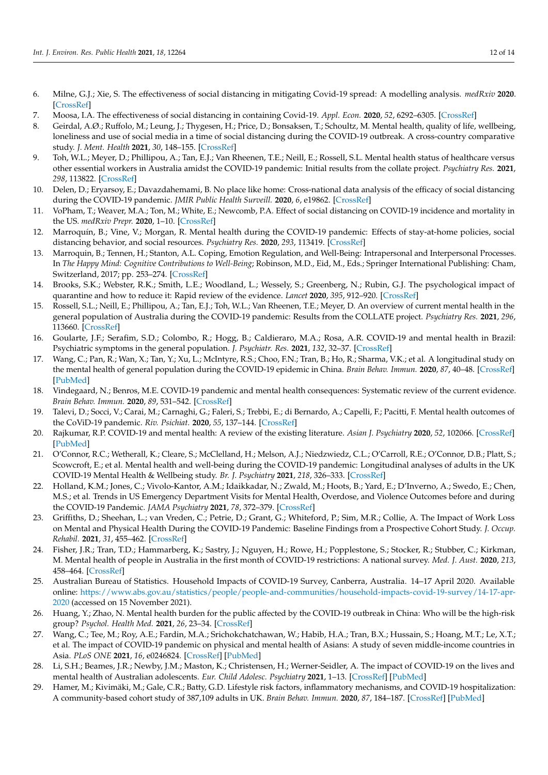- <span id="page-11-0"></span>6. Milne, G.J.; Xie, S. The effectiveness of social distancing in mitigating Covid-19 spread: A modelling analysis. *medRxiv* **2020**. [\[CrossRef\]](http://doi.org/10.1101/2020.03.20.20040055)
- <span id="page-11-1"></span>7. Moosa, I.A. The effectiveness of social distancing in containing Covid-19. *Appl. Econ.* **2020**, *52*, 6292–6305. [\[CrossRef\]](http://doi.org/10.1080/00036846.2020.1789061)
- <span id="page-11-2"></span>8. Geirdal, A.Ø.; Ruffolo, M.; Leung, J.; Thygesen, H.; Price, D.; Bonsaksen, T.; Schoultz, M. Mental health, quality of life, wellbeing, loneliness and use of social media in a time of social distancing during the COVID-19 outbreak. A cross-country comparative study. *J. Ment. Health* **2021**, *30*, 148–155. [\[CrossRef\]](http://doi.org/10.1080/09638237.2021.1875413)
- <span id="page-11-3"></span>9. Toh, W.L.; Meyer, D.; Phillipou, A.; Tan, E.J.; Van Rheenen, T.E.; Neill, E.; Rossell, S.L. Mental health status of healthcare versus other essential workers in Australia amidst the COVID-19 pandemic: Initial results from the collate project. *Psychiatry Res.* **2021**, *298*, 113822. [\[CrossRef\]](http://doi.org/10.1016/j.psychres.2021.113822)
- <span id="page-11-4"></span>10. Delen, D.; Eryarsoy, E.; Davazdahemami, B. No place like home: Cross-national data analysis of the efficacy of social distancing during the COVID-19 pandemic. *JMIR Public Health Surveill.* **2020**, *6*, e19862. [\[CrossRef\]](http://doi.org/10.2196/19862)
- <span id="page-11-5"></span>11. VoPham, T.; Weaver, M.A.; Ton, M.; White, E.; Newcomb, P.A. Effect of social distancing on COVID-19 incidence and mortality in the US. *medRxiv Prepr.* **2020**, 1–10. [\[CrossRef\]](http://doi.org/10.1101/2020.06.10.20127589)
- <span id="page-11-6"></span>12. Marroquín, B.; Vine, V.; Morgan, R. Mental health during the COVID-19 pandemic: Effects of stay-at-home policies, social distancing behavior, and social resources. *Psychiatry Res.* **2020**, *293*, 113419. [\[CrossRef\]](http://doi.org/10.1016/j.psychres.2020.113419)
- <span id="page-11-7"></span>13. Marroquin, B.; Tennen, H.; Stanton, A.L. Coping, Emotion Regulation, and Well-Being: Intrapersonal and Interpersonal Processes. In *The Happy Mind: Cognitive Contributions to Well-Being*; Robinson, M.D., Eid, M., Eds.; Springer International Publishing: Cham, Switzerland, 2017; pp. 253–274. [\[CrossRef\]](http://doi.org/10.1007/978-3-319-58763-9_14)
- <span id="page-11-8"></span>14. Brooks, S.K.; Webster, R.K.; Smith, L.E.; Woodland, L.; Wessely, S.; Greenberg, N.; Rubin, G.J. The psychological impact of quarantine and how to reduce it: Rapid review of the evidence. *Lancet* **2020**, *395*, 912–920. [\[CrossRef\]](http://doi.org/10.1016/S0140-6736(20)30460-8)
- <span id="page-11-9"></span>15. Rossell, S.L.; Neill, E.; Phillipou, A.; Tan, E.J.; Toh, W.L.; Van Rheenen, T.E.; Meyer, D. An overview of current mental health in the general population of Australia during the COVID-19 pandemic: Results from the COLLATE project. *Psychiatry Res.* **2021**, *296*, 113660. [\[CrossRef\]](http://doi.org/10.1016/j.psychres.2020.113660)
- <span id="page-11-23"></span>16. Goularte, J.F.; Serafim, S.D.; Colombo, R.; Hogg, B.; Caldieraro, M.A.; Rosa, A.R. COVID-19 and mental health in Brazil: Psychiatric symptoms in the general population. *J. Psychiatr. Res.* **2021**, *132*, 32–37. [\[CrossRef\]](http://doi.org/10.1016/j.jpsychires.2020.09.021)
- <span id="page-11-10"></span>17. Wang, C.; Pan, R.; Wan, X.; Tan, Y.; Xu, L.; McIntyre, R.S.; Choo, F.N.; Tran, B.; Ho, R.; Sharma, V.K.; et al. A longitudinal study on the mental health of general population during the COVID-19 epidemic in China. *Brain Behav. Immun.* **2020**, *87*, 40–48. [\[CrossRef\]](http://doi.org/10.1016/j.bbi.2020.04.028) [\[PubMed\]](http://www.ncbi.nlm.nih.gov/pubmed/32298802)
- <span id="page-11-11"></span>18. Vindegaard, N.; Benros, M.E. COVID-19 pandemic and mental health consequences: Systematic review of the current evidence. *Brain Behav. Immun.* **2020**, *89*, 531–542. [\[CrossRef\]](http://doi.org/10.1016/j.bbi.2020.05.048)
- <span id="page-11-12"></span>19. Talevi, D.; Socci, V.; Carai, M.; Carnaghi, G.; Faleri, S.; Trebbi, E.; di Bernardo, A.; Capelli, F.; Pacitti, F. Mental health outcomes of the CoViD-19 pandemic. *Riv. Psichiat.* **2020**, *55*, 137–144. [\[CrossRef\]](http://doi.org/10.1708/3382.33569)
- <span id="page-11-13"></span>20. Rajkumar, R.P. COVID-19 and mental health: A review of the existing literature. *Asian J. Psychiatry* **2020**, *52*, 102066. [\[CrossRef\]](http://doi.org/10.1016/j.ajp.2020.102066) [\[PubMed\]](http://www.ncbi.nlm.nih.gov/pubmed/32302935)
- <span id="page-11-14"></span>21. O'Connor, R.C.; Wetherall, K.; Cleare, S.; McClelland, H.; Melson, A.J.; Niedzwiedz, C.L.; O'Carroll, R.E.; O'Connor, D.B.; Platt, S.; Scowcroft, E.; et al. Mental health and well-being during the COVID-19 pandemic: Longitudinal analyses of adults in the UK COVID-19 Mental Health & Wellbeing study. *Br. J. Psychiatry* **2021**, *218*, 326–333. [\[CrossRef\]](http://doi.org/10.1192/bjp.2020.212)
- <span id="page-11-15"></span>22. Holland, K.M.; Jones, C.; Vivolo-Kantor, A.M.; Idaikkadar, N.; Zwald, M.; Hoots, B.; Yard, E.; D'Inverno, A.; Swedo, E.; Chen, M.S.; et al. Trends in US Emergency Department Visits for Mental Health, Overdose, and Violence Outcomes before and during the COVID-19 Pandemic. *JAMA Psychiatry* **2021**, *78*, 372–379. [\[CrossRef\]](http://doi.org/10.1001/jamapsychiatry.2020.4402)
- <span id="page-11-16"></span>23. Griffiths, D.; Sheehan, L.; van Vreden, C.; Petrie, D.; Grant, G.; Whiteford, P.; Sim, M.R.; Collie, A. The Impact of Work Loss on Mental and Physical Health During the COVID-19 Pandemic: Baseline Findings from a Prospective Cohort Study. *J. Occup. Rehabil.* **2021**, *31*, 455–462. [\[CrossRef\]](http://doi.org/10.1007/s10926-021-09958-7)
- <span id="page-11-18"></span>24. Fisher, J.R.; Tran, T.D.; Hammarberg, K.; Sastry, J.; Nguyen, H.; Rowe, H.; Popplestone, S.; Stocker, R.; Stubber, C.; Kirkman, M. Mental health of people in Australia in the first month of COVID-19 restrictions: A national survey. *Med. J. Aust.* **2020**, *213*, 458–464. [\[CrossRef\]](http://doi.org/10.5694/mja2.50831)
- <span id="page-11-17"></span>25. Australian Bureau of Statistics. Household Impacts of COVID-19 Survey, Canberra, Australia. 14–17 April 2020. Available online: [https://www.abs.gov.au/statistics/people/people-and-communities/household-impacts-covid-19-survey/14-17-apr-](https://www.abs.gov.au/statistics/people/people-and-communities/household-impacts-covid-19-survey/14-17-apr-2020)[2020](https://www.abs.gov.au/statistics/people/people-and-communities/household-impacts-covid-19-survey/14-17-apr-2020) (accessed on 15 November 2021).
- <span id="page-11-19"></span>26. Huang, Y.; Zhao, N. Mental health burden for the public affected by the COVID-19 outbreak in China: Who will be the high-risk group? *Psychol. Health Med.* **2021**, *26*, 23–34. [\[CrossRef\]](http://doi.org/10.1080/13548506.2020.1754438)
- <span id="page-11-20"></span>27. Wang, C.; Tee, M.; Roy, A.E.; Fardin, M.A.; Srichokchatchawan, W.; Habib, H.A.; Tran, B.X.; Hussain, S.; Hoang, M.T.; Le, X.T.; et al. The impact of COVID-19 pandemic on physical and mental health of Asians: A study of seven middle-income countries in Asia. *PLoS ONE* **2021**, *16*, e0246824. [\[CrossRef\]](http://doi.org/10.1371/journal.pone.0246824) [\[PubMed\]](http://www.ncbi.nlm.nih.gov/pubmed/33571297)
- <span id="page-11-21"></span>28. Li, S.H.; Beames, J.R.; Newby, J.M.; Maston, K.; Christensen, H.; Werner-Seidler, A. The impact of COVID-19 on the lives and mental health of Australian adolescents. *Eur. Child Adolesc. Psychiatry* **2021**, 1–13. [\[CrossRef\]](http://doi.org/10.1007/s00787-021-01790-x) [\[PubMed\]](http://www.ncbi.nlm.nih.gov/pubmed/33913036)
- <span id="page-11-22"></span>29. Hamer, M.; Kivimäki, M.; Gale, C.R.; Batty, G.D. Lifestyle risk factors, inflammatory mechanisms, and COVID-19 hospitalization: A community-based cohort study of 387,109 adults in UK. *Brain Behav. Immun.* **2020**, *87*, 184–187. [\[CrossRef\]](http://doi.org/10.1016/j.bbi.2020.05.059) [\[PubMed\]](http://www.ncbi.nlm.nih.gov/pubmed/32454138)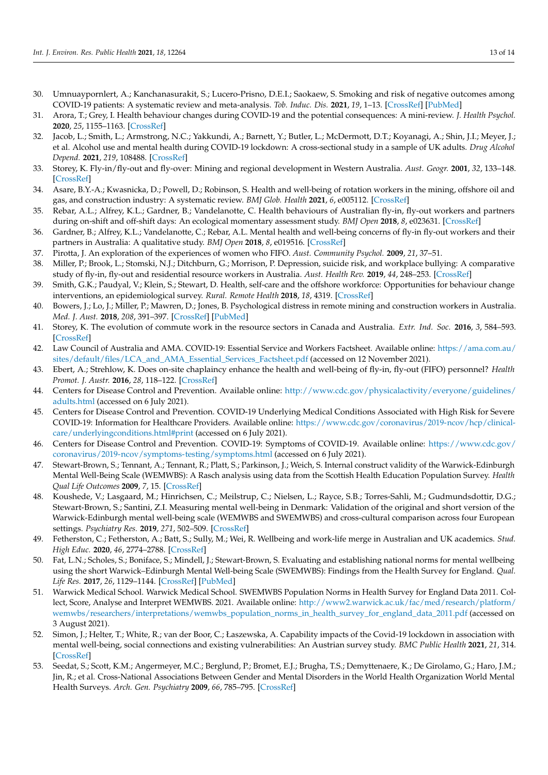- <span id="page-12-0"></span>30. Umnuaypornlert, A.; Kanchanasurakit, S.; Lucero-Prisno, D.E.I.; Saokaew, S. Smoking and risk of negative outcomes among COVID-19 patients: A systematic review and meta-analysis. *Tob. Induc. Dis.* **2021**, *19*, 1–13. [\[CrossRef\]](http://doi.org/10.18332/tid/132411) [\[PubMed\]](http://www.ncbi.nlm.nih.gov/pubmed/33551713)
- <span id="page-12-1"></span>31. Arora, T.; Grey, I. Health behaviour changes during COVID-19 and the potential consequences: A mini-review. *J. Health Psychol.* **2020**, *25*, 1155–1163. [\[CrossRef\]](http://doi.org/10.1177/1359105320937053)
- <span id="page-12-2"></span>32. Jacob, L.; Smith, L.; Armstrong, N.C.; Yakkundi, A.; Barnett, Y.; Butler, L.; McDermott, D.T.; Koyanagi, A.; Shin, J.I.; Meyer, J.; et al. Alcohol use and mental health during COVID-19 lockdown: A cross-sectional study in a sample of UK adults. *Drug Alcohol Depend.* **2021**, *219*, 108488. [\[CrossRef\]](http://doi.org/10.1016/j.drugalcdep.2020.108488)
- <span id="page-12-3"></span>33. Storey, K. Fly-in/fly-out and fly-over: Mining and regional development in Western Australia. *Aust. Geogr.* **2001**, *32*, 133–148. [\[CrossRef\]](http://doi.org/10.1080/00049180120066616)
- <span id="page-12-4"></span>34. Asare, B.Y.-A.; Kwasnicka, D.; Powell, D.; Robinson, S. Health and well-being of rotation workers in the mining, offshore oil and gas, and construction industry: A systematic review. *BMJ Glob. Health* **2021**, *6*, e005112. [\[CrossRef\]](http://doi.org/10.1136/bmjgh-2021-005112)
- <span id="page-12-5"></span>35. Rebar, A.L.; Alfrey, K.L.; Gardner, B.; Vandelanotte, C. Health behaviours of Australian fly-in, fly-out workers and partners during on-shift and off-shift days: An ecological momentary assessment study. *BMJ Open* **2018**, *8*, e023631. [\[CrossRef\]](http://doi.org/10.1136/bmjopen-2018-023631)
- <span id="page-12-6"></span>36. Gardner, B.; Alfrey, K.L.; Vandelanotte, C.; Rebar, A.L. Mental health and well-being concerns of fly-in fly-out workers and their partners in Australia: A qualitative study. *BMJ Open* **2018**, *8*, e019516. [\[CrossRef\]](http://doi.org/10.1136/bmjopen-2017-019516)
- <span id="page-12-7"></span>37. Pirotta, J. An exploration of the experiences of women who FIFO. *Aust. Community Psychol.* **2009**, *21*, 37–51.
- <span id="page-12-8"></span>38. Miller, P.; Brook, L.; Stomski, N.J.; Ditchburn, G.; Morrison, P. Depression, suicide risk, and workplace bullying: A comparative study of fly-in, fly-out and residential resource workers in Australia. *Aust. Health Rev.* **2019**, *44*, 248–253. [\[CrossRef\]](http://doi.org/10.1071/AH18155)
- <span id="page-12-9"></span>39. Smith, G.K.; Paudyal, V.; Klein, S.; Stewart, D. Health, self-care and the offshore workforce: Opportunities for behaviour change interventions, an epidemiological survey. *Rural. Remote Health* **2018**, *18*, 4319. [\[CrossRef\]](http://doi.org/10.22605/RRH4319)
- <span id="page-12-10"></span>40. Bowers, J.; Lo, J.; Miller, P.; Mawren, D.; Jones, B. Psychological distress in remote mining and construction workers in Australia. *Med. J. Aust.* **2018**, *208*, 391–397. [\[CrossRef\]](http://doi.org/10.5694/mja17.00950) [\[PubMed\]](http://www.ncbi.nlm.nih.gov/pubmed/29747563)
- <span id="page-12-11"></span>41. Storey, K. The evolution of commute work in the resource sectors in Canada and Australia. *Extr. Ind. Soc.* **2016**, *3*, 584–593. [\[CrossRef\]](http://doi.org/10.1016/j.exis.2016.02.009)
- <span id="page-12-12"></span>42. Law Council of Australia and AMA. COVID-19: Essential Service and Workers Factsheet. Available online: [https://ama.com.au/](https://ama.com.au/sites/default/files/LCA_and_AMA_Essential_Services_Factsheet.pdf) [sites/default/files/LCA\\_and\\_AMA\\_Essential\\_Services\\_Factsheet.pdf](https://ama.com.au/sites/default/files/LCA_and_AMA_Essential_Services_Factsheet.pdf) (accessed on 12 November 2021).
- <span id="page-12-13"></span>43. Ebert, A.; Strehlow, K. Does on-site chaplaincy enhance the health and well-being of fly-in, fly-out (FIFO) personnel? *Health Promot. J. Austr.* **2016**, *28*, 118–122. [\[CrossRef\]](http://doi.org/10.1071/HE16019)
- <span id="page-12-14"></span>44. Centers for Disease Control and Prevention. Available online: [http://www.cdc.gov/physicalactivity/everyone/guidelines/](http://www.cdc.gov/physicalactivity/everyone/guidelines/adults.html) [adults.html](http://www.cdc.gov/physicalactivity/everyone/guidelines/adults.html) (accessed on 6 July 2021).
- <span id="page-12-15"></span>45. Centers for Disease Control and Prevention. COVID-19 Underlying Medical Conditions Associated with High Risk for Severe COVID-19: Information for Healthcare Providers. Available online: [https://www.cdc.gov/coronavirus/2019-ncov/hcp/clinical](https://www.cdc.gov/coronavirus/2019-ncov/hcp/clinical-care/underlyingconditions.html#print)[care/underlyingconditions.html#print](https://www.cdc.gov/coronavirus/2019-ncov/hcp/clinical-care/underlyingconditions.html#print) (accessed on 6 July 2021).
- <span id="page-12-16"></span>46. Centers for Disease Control and Prevention. COVID-19: Symptoms of COVID-19. Available online: [https://www.cdc.gov/](https://www.cdc.gov/coronavirus/2019-ncov/symptoms-testing/symptoms.html) [coronavirus/2019-ncov/symptoms-testing/symptoms.html](https://www.cdc.gov/coronavirus/2019-ncov/symptoms-testing/symptoms.html) (accessed on 6 July 2021).
- <span id="page-12-17"></span>47. Stewart-Brown, S.; Tennant, A.; Tennant, R.; Platt, S.; Parkinson, J.; Weich, S. Internal construct validity of the Warwick-Edinburgh Mental Well-Being Scale (WEMWBS): A Rasch analysis using data from the Scottish Health Education Population Survey. *Health Qual Life Outcomes* **2009**, *7*, 15. [\[CrossRef\]](http://doi.org/10.1186/1477-7525-7-15)
- <span id="page-12-18"></span>48. Koushede, V.; Lasgaard, M.; Hinrichsen, C.; Meilstrup, C.; Nielsen, L.; Rayce, S.B.; Torres-Sahli, M.; Gudmundsdottir, D.G.; Stewart-Brown, S.; Santini, Z.I. Measuring mental well-being in Denmark: Validation of the original and short version of the Warwick-Edinburgh mental well-being scale (WEMWBS and SWEMWBS) and cross-cultural comparison across four European settings. *Psychiatry Res.* **2019**, *271*, 502–509. [\[CrossRef\]](http://doi.org/10.1016/j.psychres.2018.12.003)
- <span id="page-12-19"></span>49. Fetherston, C.; Fetherston, A.; Batt, S.; Sully, M.; Wei, R. Wellbeing and work-life merge in Australian and UK academics. *Stud. High Educ.* **2020**, *46*, 2774–2788. [\[CrossRef\]](http://doi.org/10.1080/03075079.2020.1828326)
- <span id="page-12-20"></span>50. Fat, L.N.; Scholes, S.; Boniface, S.; Mindell, J.; Stewart-Brown, S. Evaluating and establishing national norms for mental wellbeing using the short Warwick–Edinburgh Mental Well-being Scale (SWEMWBS): Findings from the Health Survey for England. *Qual. Life Res.* **2017**, *26*, 1129–1144. [\[CrossRef\]](http://doi.org/10.1007/s11136-016-1454-8) [\[PubMed\]](http://www.ncbi.nlm.nih.gov/pubmed/27853963)
- <span id="page-12-21"></span>51. Warwick Medical School. Warwick Medical School. SWEMWBS Population Norms in Health Survey for England Data 2011. Collect, Score, Analyse and Interpret WEMWBS. 2021. Available online: [http://www2.warwick.ac.uk/fac/med/research/platform/](http://www2.warwick.ac.uk/fac/med/research/platform/wemwbs/researchers/interpretations/wemwbs_population_norms_in_health_survey_for_england_data_2011.pdf) [wemwbs/researchers/interpretations/wemwbs\\_population\\_norms\\_in\\_health\\_survey\\_for\\_england\\_data\\_2011.pdf](http://www2.warwick.ac.uk/fac/med/research/platform/wemwbs/researchers/interpretations/wemwbs_population_norms_in_health_survey_for_england_data_2011.pdf) (accessed on 3 August 2021).
- <span id="page-12-22"></span>52. Simon, J.; Helter, T.; White, R.; van der Boor, C.; Łaszewska, A. Capability impacts of the Covid-19 lockdown in association with mental well-being, social connections and existing vulnerabilities: An Austrian survey study. *BMC Public Health* **2021**, *21*, 314. [\[CrossRef\]](http://doi.org/10.1186/s12889-021-10351-5)
- <span id="page-12-23"></span>53. Seedat, S.; Scott, K.M.; Angermeyer, M.C.; Berglund, P.; Bromet, E.J.; Brugha, T.S.; Demyttenaere, K.; De Girolamo, G.; Haro, J.M.; Jin, R.; et al. Cross-National Associations Between Gender and Mental Disorders in the World Health Organization World Mental Health Surveys. *Arch. Gen. Psychiatry* **2009**, *66*, 785–795. [\[CrossRef\]](http://doi.org/10.1001/archgenpsychiatry.2009.36)